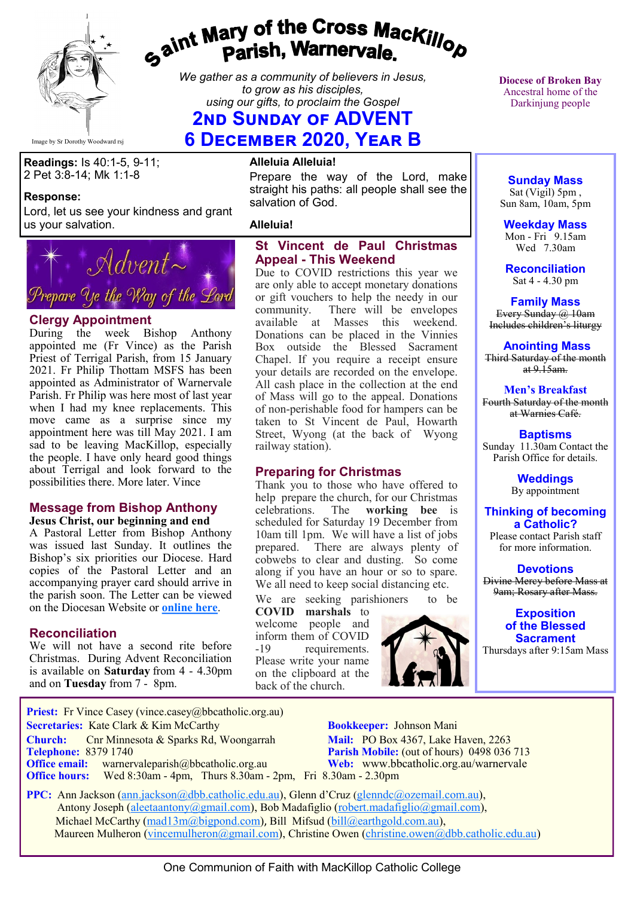

# gaint Mary of the Cross Mackillop<br>Parish, Warnervale.

*We gather as a community of believers in Jesus, to grow as his disciples, using our gifts, to proclaim the Gospel*

# **2ND SUNDAY OF ADVENT**

**6 December 2020, Year B**

**Readings:** Is 40:1-5, 9-11; 2 Pet 3:8-14; Mk 1:1-8

#### **Response:**

Lord, let us see your kindness and grant us your salvation.



#### **Clergy Appointment**

During the week Bishop Anthony appointed me (Fr Vince) as the Parish Priest of Terrigal Parish, from 15 January 2021. Fr Philip Thottam MSFS has been appointed as Administrator of Warnervale Parish. Fr Philip was here most of last year when I had my knee replacements. This move came as a surprise since my appointment here was till May 2021. I am sad to be leaving MacKillop, especially the people. I have only heard good things about Terrigal and look forward to the possibilities there. More later. Vince

## **Message from Bishop Anthony**

**Jesus Christ, our beginning and end** A Pastoral Letter from Bishop Anthony was issued last Sunday. It outlines the Bishop's six priorities our Diocese. Hard copies of the Pastoral Letter and an accompanying prayer card should arrive in the parish soon. The Letter can be viewed on the Diocesan Website or **[online here](https://bbcatholic.us8.list-manage.com/track/click?u=466af249e088db70ab864d088&id=dd4ab4915c&e=082a8c9b01)**.

#### **Reconciliation**

We will not have a second rite before Christmas. During Advent Reconciliation is available on **Saturday** from 4 - 4.30pm and on **Tuesday** from 7 - 8pm.

#### **Alleluia Alleluia!**

Prepare the way of the Lord, make straight his paths: all people shall see the salvation of God.

#### **Alleluia!**

#### **St Vincent de Paul Christmas Appeal - This Weekend**

Due to COVID restrictions this year we are only able to accept monetary donations or gift vouchers to help the needy in our community. There will be envelopes available at Masses this weekend. Donations can be placed in the Vinnies Box outside the Blessed Sacrament Chapel. If you require a receipt ensure your details are recorded on the envelope. All cash place in the collection at the end of Mass will go to the appeal. Donations of non-perishable food for hampers can be taken to St Vincent de Paul, Howarth Street, Wyong (at the back of Wyong railway station).

#### **Preparing for Christmas**

Thank you to those who have offered to help prepare the church, for our Christmas<br>celebrations. The **working** bee is The **working** bee is scheduled for Saturday 19 December from 10am till 1pm. We will have a list of jobs prepared. There are always plenty of cobwebs to clear and dusting. So come along if you have an hour or so to spare. We all need to keep social distancing etc.

We are seeking parishioners to be **COVID marshals** to

welcome people and inform them of COVID -19 requirements. Please write your name on the clipboard at the back of the church.



**Diocese of Broken Bay**  Ancestral home of the Darkinjung people

# **Sunday Mass**

Sat (Vigil) 5pm , Sun 8am, 10am, 5pm

**Weekday Mass** Mon - Fri 9.15am Wed 7.30am

**Reconciliation** Sat 4 - 4.30 pm

**Family Mass**  Every Sunday @ 10am Includes children's liturgy

**Anointing Mass** Third Saturday of the month at  $9.15$ am.

**Men's Breakfast** Fourth Saturday of the month at Warnies Café.

**Baptisms** Sunday 11.30am Contact the Parish Office for details.

> **Weddings**  By appointment

#### **Thinking of becoming a Catholic?** Please contact Parish staff

for more information.

**Devotions** Divine Mercy before Mass at 9am; Rosary after Mass.

#### **Exposition of the Blessed Sacrament**

Thursdays after 9:15am Mass

**Priest:** Fr Vince Casey (vince.casey@bbcatholic.org.au) **Secretaries:** Kate Clark & Kim McCarthy **Bookkeeper:** Johnson Mani

**Telephone: 8379 1740 Parish Mobile:** (out of hours) 0498 036 713

**Office hours:** Wed 8:30am - 4pm, Thurs 8.30am - 2pm, Fri 8.30am - 2.30pm

 **Church:** Cnr Minnesota & Sparks Rd, Woongarrah **Mail:** PO Box 4367, Lake Haven, 2263 **Office email:** warnervaleparish@bbcatholic.org.au **Web:** [www.bbcatholic.org.au/warnervale](https://www.bbcatholic.org.au/warnervale)

 **PPC:** Ann Jackson ([ann.jackson@dbb.catholic.edu.au\),](mailto:ann.jackson@dbb.catholic.edu.au) Glenn d'Cruz ([glenndc@ozemail.com.au\)](mailto:glenndc@ozemail.com.au), Antony Joseph ([aleetaantony@gmail.com\),](mailto:aleetaantony@gmail.com) Bob Madafiglio [\(robert.madafiglio@gmail.com\),](mailto:robert.madafiglio@gmail.com) Michael McCarthy ([mad13m@bigpond.com\)](mailto:mad13m@bigpond.com), Bill Mifsud ([bill@earthgold.com.au\),](mailto:bill@earthgold.com.au) Maureen Mulheron ([vincemulheron@gmail.com\)](mailto:vincemulheron@gmail.com), Christine Owen (christine.owen[@dbb.catholic.edu.au\)](mailto:ann.jackson@dbb.catholic.edu.au)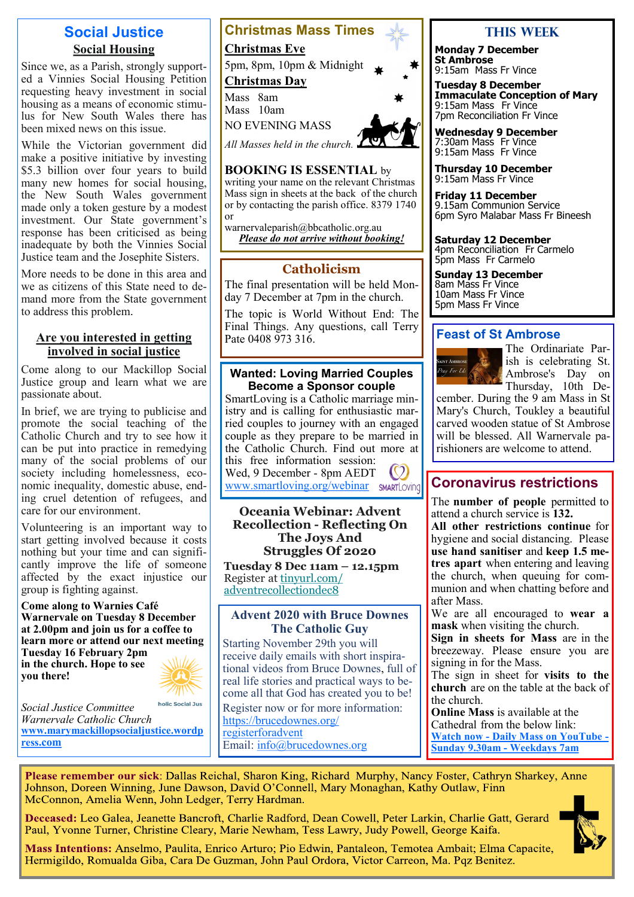# **Social Justice Social Housing**

Since we, as a Parish, strongly supported a Vinnies Social Housing Petition requesting heavy investment in social housing as a means of economic stimulus for New South Wales there has been mixed news on this issue.

While the Victorian government did make a positive initiative by investing \$5.3 billion over four years to build many new homes for social housing, the New South Wales government made only a token gesture by a modest investment. Our State government's response has been criticised as being inadequate by both the Vinnies Social Justice team and the Josephite Sisters.

More needs to be done in this area and we as citizens of this State need to demand more from the State government to address this problem.

#### **Are you interested in getting involved in social justice**

Come along to our Mackillop Social Justice group and learn what we are passionate about.

In brief, we are trying to publicise and promote the social teaching of the Catholic Church and try to see how it can be put into practice in remedying many of the social problems of our society including homelessness, economic inequality, domestic abuse, ending cruel detention of refugees, and care for our environment.

Volunteering is an important way to start getting involved because it costs nothing but your time and can significantly improve the life of someone affected by the exact injustice our group is fighting against.

**Come along to Warnies Café Warnervale on Tuesday 8 December at 2.00pm and join us for a coffee to learn more or attend our next meeting Tuesday 16 February 2pm in the church. Hope to see you there!**



holic Social Just *Social Justice Committee Warnervale Catholic Church*  **[www.marymackillopsocialjustice.wordp](http://www.marymackillopsocialjustice.wordpress.com) ress[.com](http://www.marymackillopsocialjustice.wordpress.com)**



#### **BOOKING IS ESSENTIAL** by

writing your name on the relevant Christmas Mass sign in sheets at the back of the church or by contacting the parish office. 8379 1740 or

warnervaleparish@bbcatholic.org.au *Please do not arrive without booking!*

## **Catholicism**

The final presentation will be held Monday 7 December at 7pm in the church.

The topic is World Without End: The Final Things. Any questions, call Terry Pate 0408 973 316

#### **Wanted: Loving Married Couples Become a Sponsor couple**

SmartLoving is a Catholic marriage ministry and is calling for enthusiastic married couples to journey with an engaged couple as they prepare to be married in the Catholic Church. Find out more at this free information session:  $\circled{c}$ Wed, 9 December - 8pm AEDT

[www.smartloving.org/webinar](http://www.smartloving.org/webinar) sMARTLOVING

#### **Oceania Webinar: Advent Recollection - Reflecting On The Joys And Struggles Of 2020**

**Tuesday 8 Dec 11am – 12.15pm**  Register at [tinyurl.com/](https://bbcatholic.us8.list-manage.com/track/click?u=466af249e088db70ab864d088&id=add07294a4&e=e312df0f80) [adventrecollectiondec8](https://bbcatholic.us8.list-manage.com/track/click?u=466af249e088db70ab864d088&id=add07294a4&e=e312df0f80)

#### **Advent 2020 with Bruce Downes The Catholic Guy**

Starting November 29th you will receive daily emails with short inspirational videos from Bruce Downes, full of real life stories and practical ways to become all that God has created you to be! Register now or for more information: [https://brucedownes.org/](https://brucedownes.org/registerforadvent) [registerforadvent](https://brucedownes.org/registerforadvent) Email: [info@brucedownes.org](mailto:info@brucedownes.org)

# **This Week**

**Monday 7 December St Ambrose** 9:15am Mass Fr Vince

**Tuesday 8 December Immaculate Conception of Mary** 9:15am Mass Fr Vince 7pm Reconciliation Fr Vince

**Wednesday 9 December** 7:30am Mass Fr Vince 9:15am Mass Fr Vince

**Thursday 10 December** 9:15am Mass Fr Vince

**Friday 11 December** 9.15am Communion Service 6pm Syro Malabar Mass Fr Bineesh

**Saturday 12 December** 4pm Reconciliation Fr Carmelo 5pm Mass Fr Carmelo

**Sunday 13 December** 8am Mass Fr Vince 10am Mass Fr Vince 5pm Mass Fr Vince

# **Feast of St Ambrose**



The Ordinariate Parish is celebrating St. Ambrose's Day on Thursday, 10th De-

cember. During the 9 am Mass in St Mary's Church, Toukley a beautiful carved wooden statue of St Ambrose will be blessed. All Warnervale parishioners are welcome to attend.

# **Coronavirus restrictions**

The **number of people** permitted to attend a church service is **132.** 

**All other restrictions continue** for hygiene and social distancing. Please **use hand sanitiser** and **keep 1.5 metres apart** when entering and leaving the church, when queuing for communion and when chatting before and after Mass.

We are all encouraged to **wear a mask** when visiting the church.

**Sign in sheets for Mass** are in the breezeway. Please ensure you are signing in for the Mass.

The sign in sheet for **visits to the church** are on the table at the back of the church.

**Online Mass** is available at the Cathedral from the below link: **Watch now - [Daily Mass on YouTube](https://www.youtube.com/channel/UCNenwlfI7i14XB9TsVBrLvQ/) - [Sunday 9.30am](https://www.youtube.com/channel/UCNenwlfI7i14XB9TsVBrLvQ/) - Weekdays 7am**

Please remember our sick: Dallas Reichal, Sharon King, Richard Murphy, Nancy Foster, Cathryn Sharkey, Anne Johnson, Doreen Winning, June Dawson, David O'Connell, Mary Monaghan, Kathy Outlaw, Finn McConnon, Amelia Wenn, John Ledger, Terry Hardman.

Deceased: Leo Galea, Jeanette Bancroft, Charlie Radford, Dean Cowell, Peter Larkin, Charlie Gatt, Gerard Paul, Yvonne Turner, Christine Cleary, Marie Newham, Tess Lawry, Judy Powell, George Kaifa.



Mass Intentions: Anselmo, Paulita, Enrico Arturo; Pio Edwin, Pantaleon, Temotea Ambait; Elma Capacite, Hermigildo, Romualda Giba, Cara De Guzman, John Paul Ordora, Victor Carreon, Ma. Pqz Benitez.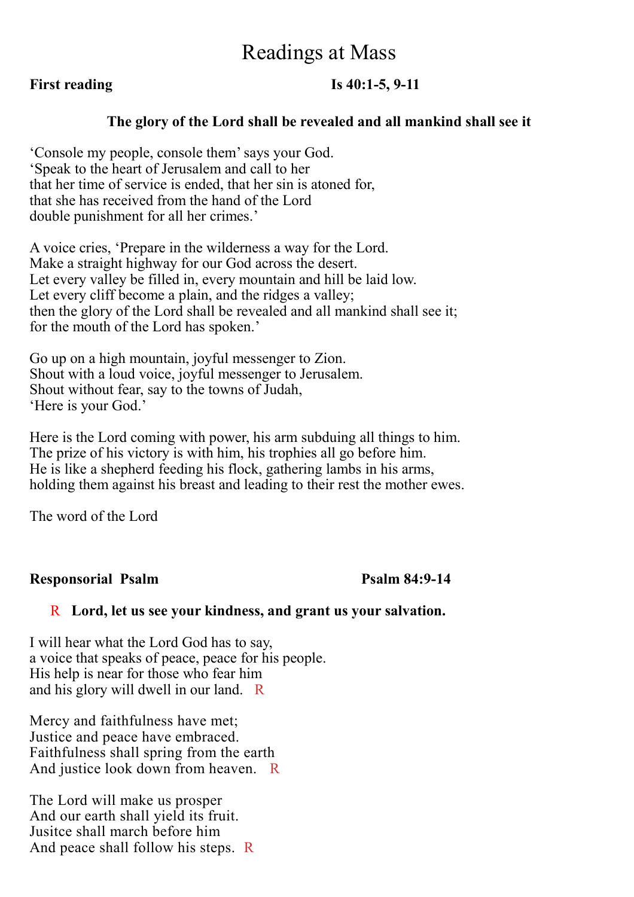# Readings at Mass

# **First reading Is 40:1-5, 9-11**

# **The glory of the Lord shall be revealed and all mankind shall see it**

'Console my people, console them' says your God. 'Speak to the heart of Jerusalem and call to her that her time of service is ended, that her sin is atoned for, that she has received from the hand of the Lord double punishment for all her crimes.'

A voice cries, 'Prepare in the wilderness a way for the Lord. Make a straight highway for our God across the desert. Let every valley be filled in, every mountain and hill be laid low. Let every cliff become a plain, and the ridges a valley; then the glory of the Lord shall be revealed and all mankind shall see it; for the mouth of the Lord has spoken.'

Go up on a high mountain, joyful messenger to Zion. Shout with a loud voice, joyful messenger to Jerusalem. Shout without fear, say to the towns of Judah, 'Here is your God.'

Here is the Lord coming with power, his arm subduing all things to him. The prize of his victory is with him, his trophies all go before him. He is like a shepherd feeding his flock, gathering lambs in his arms, holding them against his breast and leading to their rest the mother ewes.

The word of the Lord

# **Responsorial Psalm Psalm 84:9-14**

## R **Lord, let us see your kindness, and grant us your salvation.**

I will hear what the Lord God has to say, a voice that speaks of peace, peace for his people. His help is near for those who fear him and his glory will dwell in our land. R

Mercy and faithfulness have met; Justice and peace have embraced. Faithfulness shall spring from the earth And justice look down from heaven. R

The Lord will make us prosper And our earth shall yield its fruit. Jusitce shall march before him And peace shall follow his steps. R